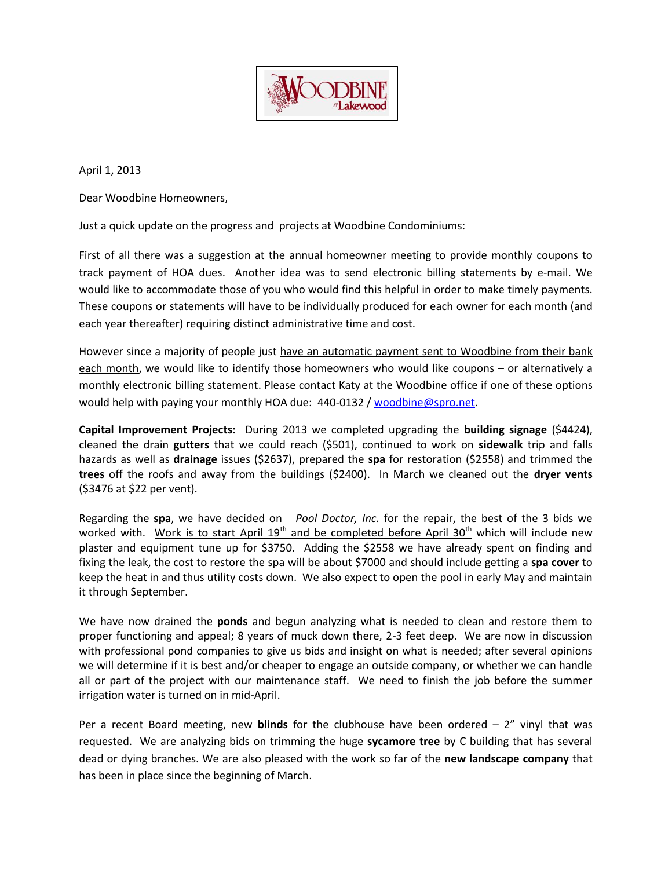

April 1, 2013

Dear Woodbine Homeowners,

Just a quick update on the progress and projects at Woodbine Condominiums:

First of all there was a suggestion at the annual homeowner meeting to provide monthly coupons to track payment of HOA dues. Another idea was to send electronic billing statements by e-mail. We would like to accommodate those of you who would find this helpful in order to make timely payments. These coupons or statements will have to be individually produced for each owner for each month (and each year thereafter) requiring distinct administrative time and cost.

However since a majority of people just have an automatic payment sent to Woodbine from their bank each month, we would like to identify those homeowners who would like coupons – or alternatively a monthly electronic billing statement. Please contact Katy at the Woodbine office if one of these options would help with paying your monthly HOA due: 440-0132 / [woodbine@spro.net.](mailto:woodbine@spro.net)

**Capital Improvement Projects:** During 2013 we completed upgrading the **building signage** (\$4424), cleaned the drain **gutters** that we could reach (\$501), continued to work on **sidewalk** trip and falls hazards as well as **drainage** issues (\$2637), prepared the **spa** for restoration (\$2558) and trimmed the **trees** off the roofs and away from the buildings (\$2400). In March we cleaned out the **dryer vents** (\$3476 at \$22 per vent).

Regarding the **spa**, we have decided on *Pool Doctor, Inc.* for the repair, the best of the 3 bids we worked with. Work is to start April  $19<sup>th</sup>$  and be completed before April  $30<sup>th</sup>$  which will include new plaster and equipment tune up for \$3750. Adding the \$2558 we have already spent on finding and fixing the leak, the cost to restore the spa will be about \$7000 and should include getting a **spa cover** to keep the heat in and thus utility costs down. We also expect to open the pool in early May and maintain it through September.

We have now drained the **ponds** and begun analyzing what is needed to clean and restore them to proper functioning and appeal; 8 years of muck down there, 2-3 feet deep. We are now in discussion with professional pond companies to give us bids and insight on what is needed; after several opinions we will determine if it is best and/or cheaper to engage an outside company, or whether we can handle all or part of the project with our maintenance staff. We need to finish the job before the summer irrigation water is turned on in mid-April.

Per a recent Board meeting, new **blinds** for the clubhouse have been ordered – 2" vinyl that was requested. We are analyzing bids on trimming the huge **sycamore tree** by C building that has several dead or dying branches. We are also pleased with the work so far of the **new landscape company** that has been in place since the beginning of March.